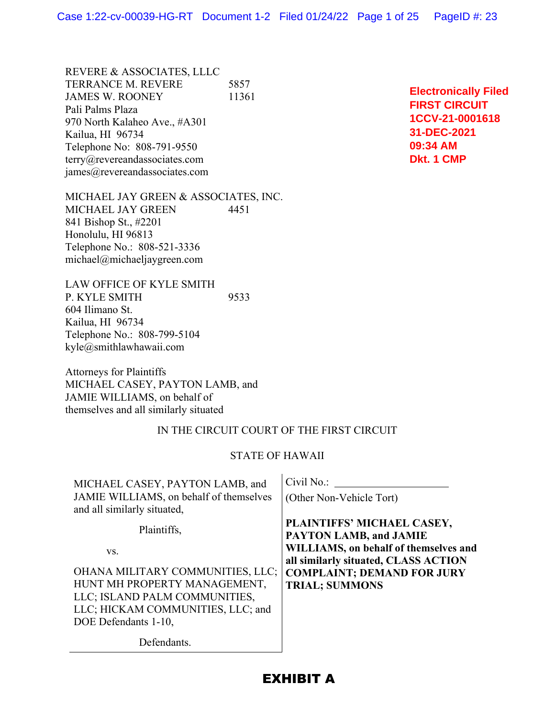REVERE & ASSOCIATES, LLLC TERRANCE M. REVERE 5857 JAMES W. ROONEY 11361 Pali Palms Plaza 970 North Kalaheo Ave., #A301 Kailua, HI 96734 Telephone No: 808-791-9550 terry@revereandassociates.com james@revereandassociates.com

MICHAEL JAY GREEN & ASSOCIATES, INC. MICHAEL JAY GREEN 4451 841 Bishop St., #2201 Honolulu, HI 96813 Telephone No.: 808-521-3336 michael@michaeljaygreen.com

LAW OFFICE OF KYLE SMITH P. KYLE SMITH 9533 604 Ilimano St. Kailua, HI 96734 Telephone No.: 808-799-5104 kyle@smithlawhawaii.com

Attorneys for Plaintiffs MICHAEL CASEY, PAYTON LAMB, and JAMIE WILLIAMS, on behalf of themselves and all similarly situated

#### IN THE CIRCUIT COURT OF THE FIRST CIRCUIT

#### STATE OF HAWAII

| MICHAEL CASEY, PAYTON LAMB, and                                        | Civil No.:                                                                    |  |  |  |
|------------------------------------------------------------------------|-------------------------------------------------------------------------------|--|--|--|
| JAMIE WILLIAMS, on behalf of themselves<br>and all similarly situated, | (Other Non-Vehicle Tort)                                                      |  |  |  |
| Plaintiffs,                                                            | PLAINTIFFS' MICHAEL CASEY,<br><b>PAYTON LAMB, and JAMIE</b>                   |  |  |  |
| VS.                                                                    | WILLIAMS, on behalf of themselves and<br>all similarly situated, CLASS ACTION |  |  |  |
| OHANA MILITARY COMMUNITIES, LLC;                                       | <b>COMPLAINT; DEMAND FOR JURY</b>                                             |  |  |  |
| HUNT MH PROPERTY MANAGEMENT,                                           | <b>TRIAL; SUMMONS</b>                                                         |  |  |  |
| LLC; ISLAND PALM COMMUNITIES,                                          |                                                                               |  |  |  |
| LLC; HICKAM COMMUNITIES, LLC; and                                      |                                                                               |  |  |  |
| DOE Defendants 1-10,                                                   |                                                                               |  |  |  |
| Defendants.                                                            |                                                                               |  |  |  |

**Electronically Filed FIRST CIRCUIT 1CCV-21-0001618 31-DEC-2021 09:34 AM Dkt. 1 CMP**

## EXHIBIT A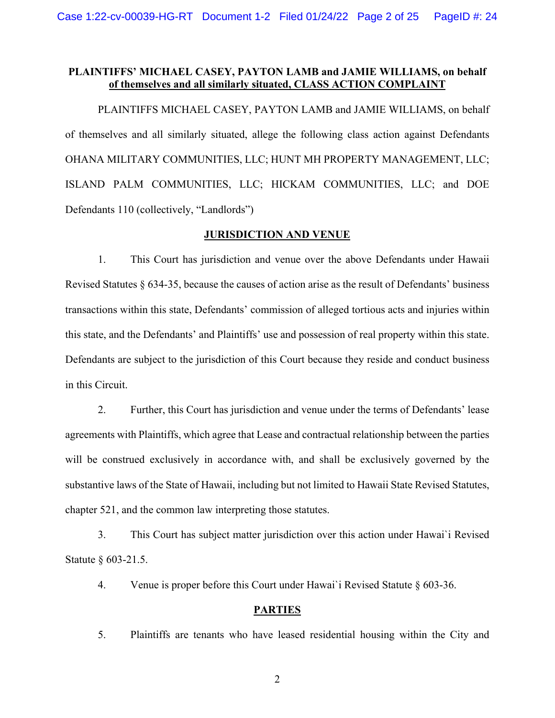## **PLAINTIFFS' MICHAEL CASEY, PAYTON LAMB and JAMIE WILLIAMS, on behalf of themselves and all similarly situated, CLASS ACTION COMPLAINT**

 PLAINTIFFS MICHAEL CASEY, PAYTON LAMB and JAMIE WILLIAMS, on behalf of themselves and all similarly situated, allege the following class action against Defendants OHANA MILITARY COMMUNITIES, LLC; HUNT MH PROPERTY MANAGEMENT, LLC; ISLAND PALM COMMUNITIES, LLC; HICKAM COMMUNITIES, LLC; and DOE Defendants 110 (collectively, "Landlords")

### **JURISDICTION AND VENUE**

1. This Court has jurisdiction and venue over the above Defendants under Hawaii Revised Statutes § 634-35, because the causes of action arise as the result of Defendants' business transactions within this state, Defendants' commission of alleged tortious acts and injuries within this state, and the Defendants' and Plaintiffs' use and possession of real property within this state. Defendants are subject to the jurisdiction of this Court because they reside and conduct business in this Circuit.

2. Further, this Court has jurisdiction and venue under the terms of Defendants' lease agreements with Plaintiffs, which agree that Lease and contractual relationship between the parties will be construed exclusively in accordance with, and shall be exclusively governed by the substantive laws of the State of Hawaii, including but not limited to Hawaii State Revised Statutes, chapter 521, and the common law interpreting those statutes.

3. This Court has subject matter jurisdiction over this action under Hawai`i Revised Statute § 603-21.5.

4. Venue is proper before this Court under Hawai`i Revised Statute § 603-36.

### **PARTIES**

5. Plaintiffs are tenants who have leased residential housing within the City and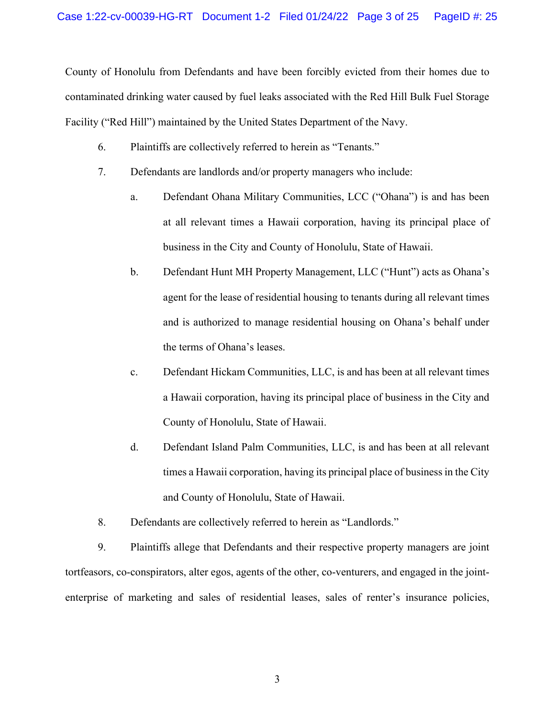County of Honolulu from Defendants and have been forcibly evicted from their homes due to contaminated drinking water caused by fuel leaks associated with the Red Hill Bulk Fuel Storage Facility ("Red Hill") maintained by the United States Department of the Navy.

- 6. Plaintiffs are collectively referred to herein as "Tenants."
- 7. Defendants are landlords and/or property managers who include:
	- a. Defendant Ohana Military Communities, LCC ("Ohana") is and has been at all relevant times a Hawaii corporation, having its principal place of business in the City and County of Honolulu, State of Hawaii.
	- b. Defendant Hunt MH Property Management, LLC ("Hunt") acts as Ohana's agent for the lease of residential housing to tenants during all relevant times and is authorized to manage residential housing on Ohana's behalf under the terms of Ohana's leases.
	- c. Defendant Hickam Communities, LLC, is and has been at all relevant times a Hawaii corporation, having its principal place of business in the City and County of Honolulu, State of Hawaii.
	- d. Defendant Island Palm Communities, LLC, is and has been at all relevant times a Hawaii corporation, having its principal place of business in the City and County of Honolulu, State of Hawaii.
- 8. Defendants are collectively referred to herein as "Landlords."

9. Plaintiffs allege that Defendants and their respective property managers are joint tortfeasors, co-conspirators, alter egos, agents of the other, co-venturers, and engaged in the jointenterprise of marketing and sales of residential leases, sales of renter's insurance policies,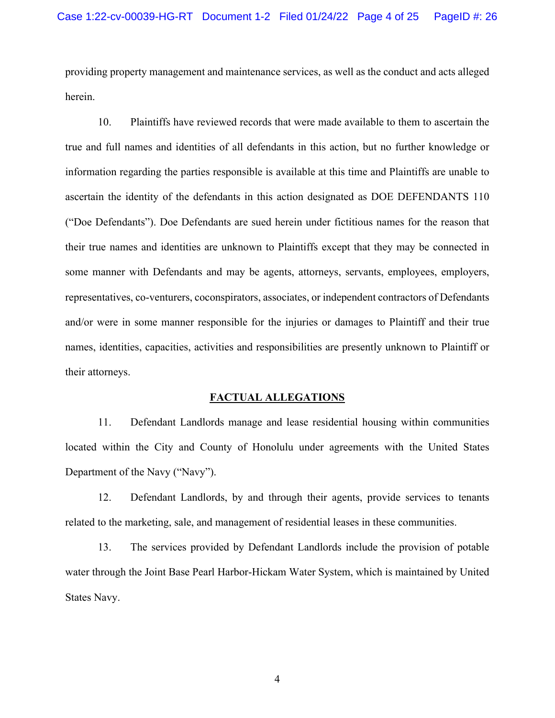providing property management and maintenance services, as well as the conduct and acts alleged herein.

10. Plaintiffs have reviewed records that were made available to them to ascertain the true and full names and identities of all defendants in this action, but no further knowledge or information regarding the parties responsible is available at this time and Plaintiffs are unable to ascertain the identity of the defendants in this action designated as DOE DEFENDANTS 110 ("Doe Defendants"). Doe Defendants are sued herein under fictitious names for the reason that their true names and identities are unknown to Plaintiffs except that they may be connected in some manner with Defendants and may be agents, attorneys, servants, employees, employers, representatives, co-venturers, coconspirators, associates, or independent contractors of Defendants and/or were in some manner responsible for the injuries or damages to Plaintiff and their true names, identities, capacities, activities and responsibilities are presently unknown to Plaintiff or their attorneys.

#### **FACTUAL ALLEGATIONS**

11. Defendant Landlords manage and lease residential housing within communities located within the City and County of Honolulu under agreements with the United States Department of the Navy ("Navy").

12. Defendant Landlords, by and through their agents, provide services to tenants related to the marketing, sale, and management of residential leases in these communities.

13. The services provided by Defendant Landlords include the provision of potable water through the Joint Base Pearl Harbor-Hickam Water System, which is maintained by United States Navy.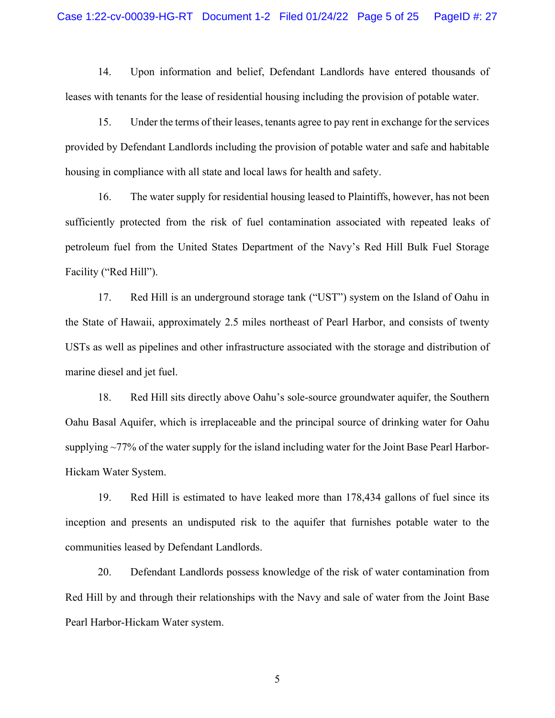14. Upon information and belief, Defendant Landlords have entered thousands of leases with tenants for the lease of residential housing including the provision of potable water.

15. Under the terms of their leases, tenants agree to pay rent in exchange for the services provided by Defendant Landlords including the provision of potable water and safe and habitable housing in compliance with all state and local laws for health and safety.

16. The water supply for residential housing leased to Plaintiffs, however, has not been sufficiently protected from the risk of fuel contamination associated with repeated leaks of petroleum fuel from the United States Department of the Navy's Red Hill Bulk Fuel Storage Facility ("Red Hill").

17. Red Hill is an underground storage tank ("UST") system on the Island of Oahu in the State of Hawaii, approximately 2.5 miles northeast of Pearl Harbor, and consists of twenty USTs as well as pipelines and other infrastructure associated with the storage and distribution of marine diesel and jet fuel.

18. Red Hill sits directly above Oahu's sole-source groundwater aquifer, the Southern Oahu Basal Aquifer, which is irreplaceable and the principal source of drinking water for Oahu supplying ~77% of the water supply for the island including water for the Joint Base Pearl Harbor-Hickam Water System.

19. Red Hill is estimated to have leaked more than 178,434 gallons of fuel since its inception and presents an undisputed risk to the aquifer that furnishes potable water to the communities leased by Defendant Landlords.

20. Defendant Landlords possess knowledge of the risk of water contamination from Red Hill by and through their relationships with the Navy and sale of water from the Joint Base Pearl Harbor-Hickam Water system.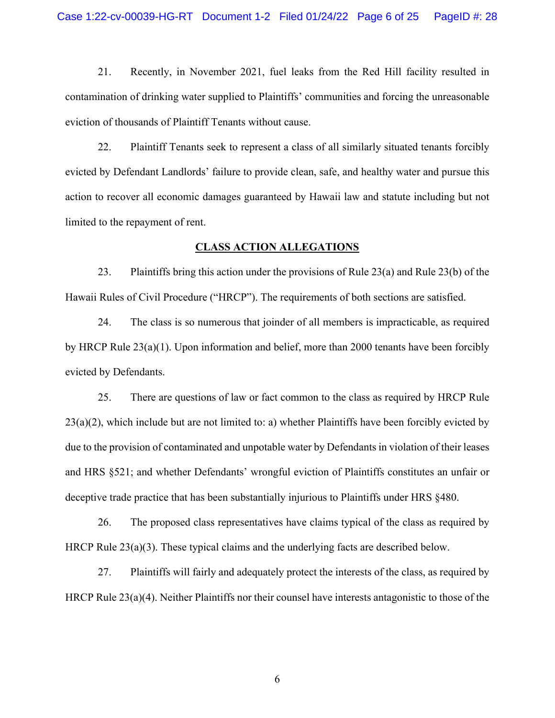21. Recently, in November 2021, fuel leaks from the Red Hill facility resulted in contamination of drinking water supplied to Plaintiffs' communities and forcing the unreasonable eviction of thousands of Plaintiff Tenants without cause.

22. Plaintiff Tenants seek to represent a class of all similarly situated tenants forcibly evicted by Defendant Landlords' failure to provide clean, safe, and healthy water and pursue this action to recover all economic damages guaranteed by Hawaii law and statute including but not limited to the repayment of rent.

#### **CLASS ACTION ALLEGATIONS**

23. Plaintiffs bring this action under the provisions of Rule 23(a) and Rule 23(b) of the Hawaii Rules of Civil Procedure ("HRCP"). The requirements of both sections are satisfied.

24. The class is so numerous that joinder of all members is impracticable, as required by HRCP Rule 23(a)(1). Upon information and belief, more than 2000 tenants have been forcibly evicted by Defendants.

25. There are questions of law or fact common to the class as required by HRCP Rule 23(a)(2), which include but are not limited to: a) whether Plaintiffs have been forcibly evicted by due to the provision of contaminated and unpotable water by Defendants in violation of their leases and HRS §521; and whether Defendants' wrongful eviction of Plaintiffs constitutes an unfair or deceptive trade practice that has been substantially injurious to Plaintiffs under HRS §480.

26. The proposed class representatives have claims typical of the class as required by HRCP Rule 23(a)(3). These typical claims and the underlying facts are described below.

27. Plaintiffs will fairly and adequately protect the interests of the class, as required by HRCP Rule 23(a)(4). Neither Plaintiffs nor their counsel have interests antagonistic to those of the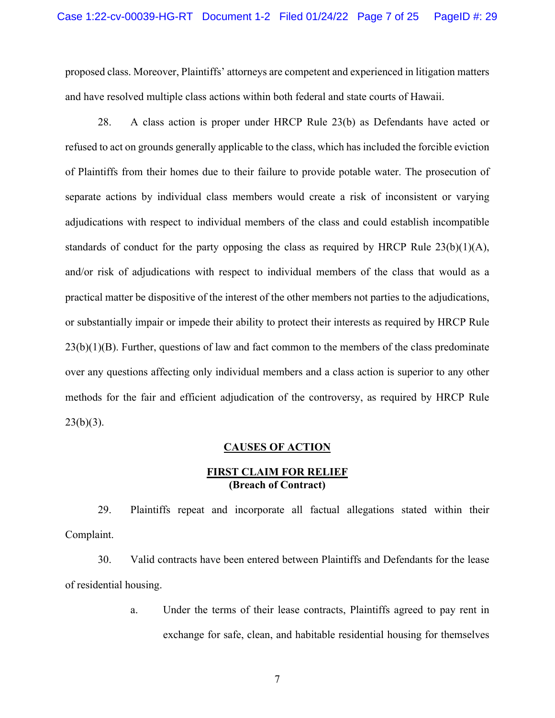proposed class. Moreover, Plaintiffs' attorneys are competent and experienced in litigation matters and have resolved multiple class actions within both federal and state courts of Hawaii.

28. A class action is proper under HRCP Rule 23(b) as Defendants have acted or refused to act on grounds generally applicable to the class, which has included the forcible eviction of Plaintiffs from their homes due to their failure to provide potable water. The prosecution of separate actions by individual class members would create a risk of inconsistent or varying adjudications with respect to individual members of the class and could establish incompatible standards of conduct for the party opposing the class as required by HRCP Rule  $23(b)(1)(A)$ , and/or risk of adjudications with respect to individual members of the class that would as a practical matter be dispositive of the interest of the other members not parties to the adjudications, or substantially impair or impede their ability to protect their interests as required by HRCP Rule  $23(b)(1)(B)$ . Further, questions of law and fact common to the members of the class predominate over any questions affecting only individual members and a class action is superior to any other methods for the fair and efficient adjudication of the controversy, as required by HRCP Rule  $23(b)(3)$ .

#### **CAUSES OF ACTION**

## **FIRST CLAIM FOR RELIEF (Breach of Contract)**

29. Plaintiffs repeat and incorporate all factual allegations stated within their Complaint.

30. Valid contracts have been entered between Plaintiffs and Defendants for the lease of residential housing.

> a. Under the terms of their lease contracts, Plaintiffs agreed to pay rent in exchange for safe, clean, and habitable residential housing for themselves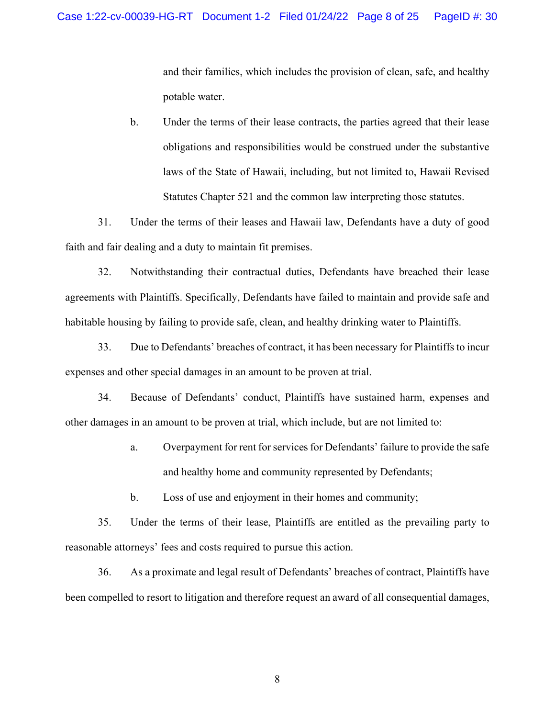and their families, which includes the provision of clean, safe, and healthy potable water.

b. Under the terms of their lease contracts, the parties agreed that their lease obligations and responsibilities would be construed under the substantive laws of the State of Hawaii, including, but not limited to, Hawaii Revised Statutes Chapter 521 and the common law interpreting those statutes.

31. Under the terms of their leases and Hawaii law, Defendants have a duty of good faith and fair dealing and a duty to maintain fit premises.

32. Notwithstanding their contractual duties, Defendants have breached their lease agreements with Plaintiffs. Specifically, Defendants have failed to maintain and provide safe and habitable housing by failing to provide safe, clean, and healthy drinking water to Plaintiffs.

33. Due to Defendants' breaches of contract, it has been necessary for Plaintiffs to incur expenses and other special damages in an amount to be proven at trial.

34. Because of Defendants' conduct, Plaintiffs have sustained harm, expenses and other damages in an amount to be proven at trial, which include, but are not limited to:

> a. Overpayment for rent for services for Defendants' failure to provide the safe and healthy home and community represented by Defendants;

b. Loss of use and enjoyment in their homes and community;

35. Under the terms of their lease, Plaintiffs are entitled as the prevailing party to reasonable attorneys' fees and costs required to pursue this action.

36. As a proximate and legal result of Defendants' breaches of contract, Plaintiffs have been compelled to resort to litigation and therefore request an award of all consequential damages,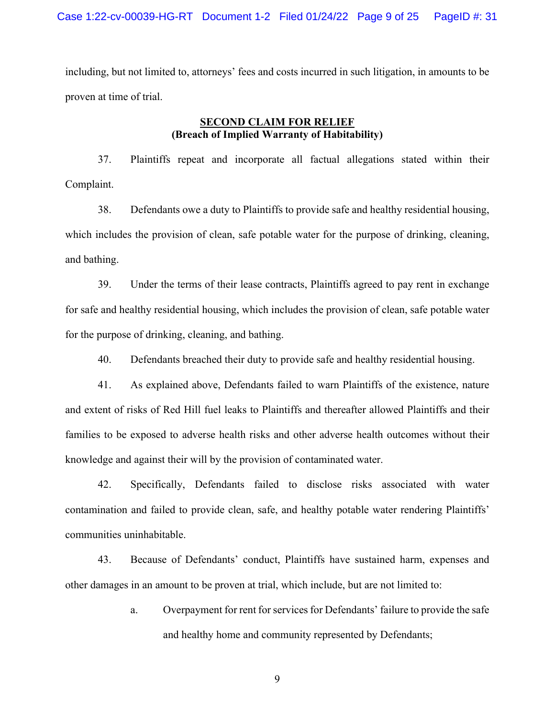including, but not limited to, attorneys' fees and costs incurred in such litigation, in amounts to be proven at time of trial.

### **SECOND CLAIM FOR RELIEF (Breach of Implied Warranty of Habitability)**

37. Plaintiffs repeat and incorporate all factual allegations stated within their Complaint.

38. Defendants owe a duty to Plaintiffs to provide safe and healthy residential housing, which includes the provision of clean, safe potable water for the purpose of drinking, cleaning, and bathing.

39. Under the terms of their lease contracts, Plaintiffs agreed to pay rent in exchange for safe and healthy residential housing, which includes the provision of clean, safe potable water for the purpose of drinking, cleaning, and bathing.

40. Defendants breached their duty to provide safe and healthy residential housing.

41. As explained above, Defendants failed to warn Plaintiffs of the existence, nature and extent of risks of Red Hill fuel leaks to Plaintiffs and thereafter allowed Plaintiffs and their families to be exposed to adverse health risks and other adverse health outcomes without their knowledge and against their will by the provision of contaminated water.

42. Specifically, Defendants failed to disclose risks associated with water contamination and failed to provide clean, safe, and healthy potable water rendering Plaintiffs' communities uninhabitable.

43. Because of Defendants' conduct, Plaintiffs have sustained harm, expenses and other damages in an amount to be proven at trial, which include, but are not limited to:

> a. Overpayment for rent for services for Defendants' failure to provide the safe and healthy home and community represented by Defendants;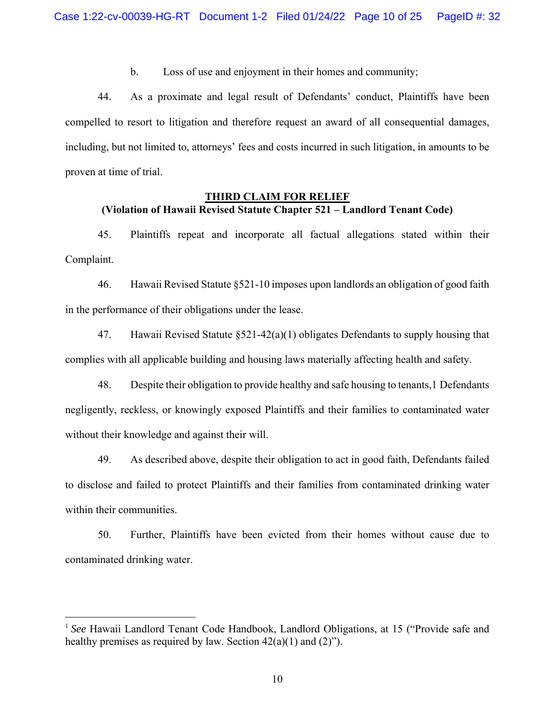b. Loss of use and enjoyment in their homes and community;

44. As a proximate and legal result of Defendants' conduct, Plaintiffs have been compelled to resort to litigation and therefore request an award of all consequential damages, including, but not limited to, attorneys' fees and costs incurred in such litigation, in amounts to be proven at time of trial.

## **THIRD CLAIM FOR RELIEF (Violation of Hawaii Revised Statute Chapter 521 – Landlord Tenant Code)**

45. Plaintiffs repeat and incorporate all factual allegations stated within their Complaint.

46. Hawaii Revised Statute §521-10 imposes upon landlords an obligation of good faith in the performance of their obligations under the lease.

47. Hawaii Revised Statute §521-42(a)(1) obligates Defendants to supply housing that complies with all applicable building and housing laws materially affecting health and safety.

48. Despite their obligation to provide healthy and safe housing to tenants,1 Defendants negligently, reckless, or knowingly exposed Plaintiffs and their families to contaminated water without their knowledge and against their will.

49. As described above, despite their obligation to act in good faith, Defendants failed to disclose and failed to protect Plaintiffs and their families from contaminated drinking water within their communities.

50. Further, Plaintiffs have been evicted from their homes without cause due to contaminated drinking water.

<sup>&</sup>lt;sup>1</sup> See Hawaii Landlord Tenant Code Handbook, Landlord Obligations, at 15 ("Provide safe and healthy premises as required by law. Section  $42(a)(1)$  and  $(2)$ ").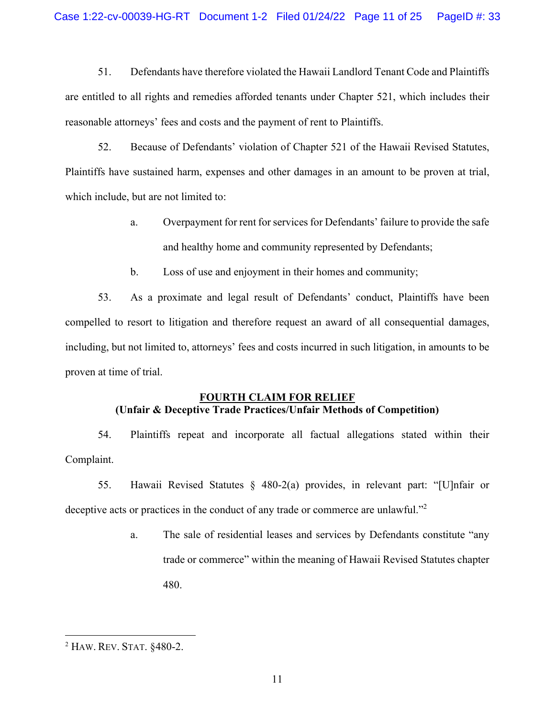51. Defendants have therefore violated the Hawaii Landlord Tenant Code and Plaintiffs are entitled to all rights and remedies afforded tenants under Chapter 521, which includes their reasonable attorneys' fees and costs and the payment of rent to Plaintiffs.

52. Because of Defendants' violation of Chapter 521 of the Hawaii Revised Statutes, Plaintiffs have sustained harm, expenses and other damages in an amount to be proven at trial, which include, but are not limited to:

- a. Overpayment for rent for services for Defendants' failure to provide the safe and healthy home and community represented by Defendants;
- b. Loss of use and enjoyment in their homes and community;

53. As a proximate and legal result of Defendants' conduct, Plaintiffs have been compelled to resort to litigation and therefore request an award of all consequential damages, including, but not limited to, attorneys' fees and costs incurred in such litigation, in amounts to be proven at time of trial.

### **FOURTH CLAIM FOR RELIEF (Unfair & Deceptive Trade Practices/Unfair Methods of Competition)**

54. Plaintiffs repeat and incorporate all factual allegations stated within their Complaint.

- 55. Hawaii Revised Statutes § 480-2(a) provides, in relevant part: "[U]nfair or deceptive acts or practices in the conduct of any trade or commerce are unlawful."<sup>2</sup>
	- a. The sale of residential leases and services by Defendants constitute "any trade or commerce" within the meaning of Hawaii Revised Statutes chapter 480.

<sup>2</sup> HAW. REV. STAT. §480-2.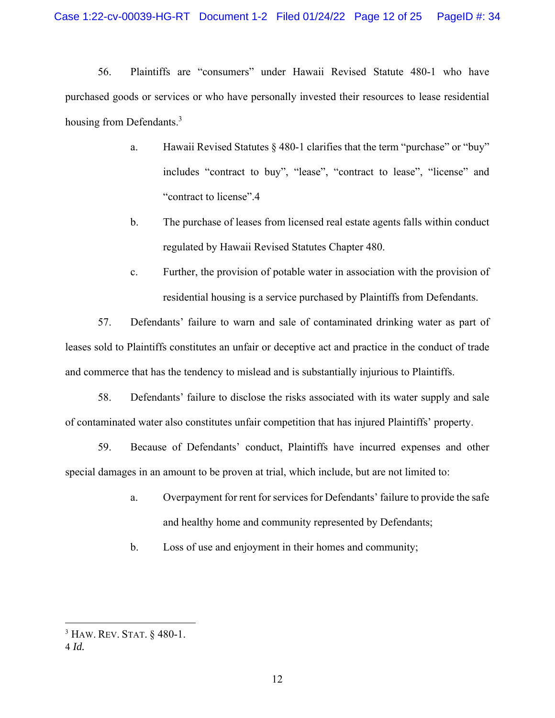56. Plaintiffs are "consumers" under Hawaii Revised Statute 480-1 who have purchased goods or services or who have personally invested their resources to lease residential housing from Defendants.<sup>3</sup>

- a. Hawaii Revised Statutes § 480-1 clarifies that the term "purchase" or "buy" includes "contract to buy", "lease", "contract to lease", "license" and "contract to license".4
- b. The purchase of leases from licensed real estate agents falls within conduct regulated by Hawaii Revised Statutes Chapter 480.
- c. Further, the provision of potable water in association with the provision of residential housing is a service purchased by Plaintiffs from Defendants.

57. Defendants' failure to warn and sale of contaminated drinking water as part of leases sold to Plaintiffs constitutes an unfair or deceptive act and practice in the conduct of trade and commerce that has the tendency to mislead and is substantially injurious to Plaintiffs.

58. Defendants' failure to disclose the risks associated with its water supply and sale of contaminated water also constitutes unfair competition that has injured Plaintiffs' property.

59. Because of Defendants' conduct, Plaintiffs have incurred expenses and other special damages in an amount to be proven at trial, which include, but are not limited to:

- a. Overpayment for rent for services for Defendants' failure to provide the safe and healthy home and community represented by Defendants;
- b. Loss of use and enjoyment in their homes and community;

<sup>3</sup> HAW. REV. STAT. § 480-1.

<sup>4</sup> *Id.*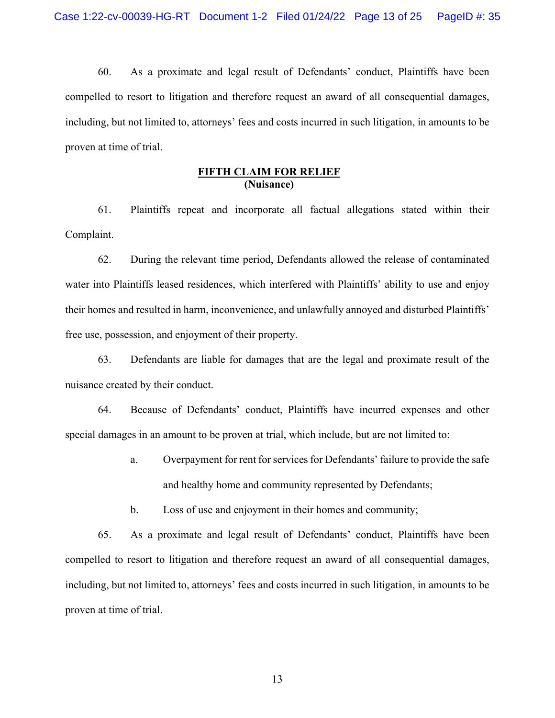60. As a proximate and legal result of Defendants' conduct, Plaintiffs have been compelled to resort to litigation and therefore request an award of all consequential damages, including, but not limited to, attorneys' fees and costs incurred in such litigation, in amounts to be proven at time of trial.

## **FIFTH CLAIM FOR RELIEF (Nuisance)**

61. Plaintiffs repeat and incorporate all factual allegations stated within their Complaint.

62. During the relevant time period, Defendants allowed the release of contaminated water into Plaintiffs leased residences, which interfered with Plaintiffs' ability to use and enjoy their homes and resulted in harm, inconvenience, and unlawfully annoyed and disturbed Plaintiffs' free use, possession, and enjoyment of their property.

63. Defendants are liable for damages that are the legal and proximate result of the nuisance created by their conduct.

64. Because of Defendants' conduct, Plaintiffs have incurred expenses and other special damages in an amount to be proven at trial, which include, but are not limited to:

- a. Overpayment for rent for services for Defendants' failure to provide the safe and healthy home and community represented by Defendants;
- b. Loss of use and enjoyment in their homes and community;

65. As a proximate and legal result of Defendants' conduct, Plaintiffs have been compelled to resort to litigation and therefore request an award of all consequential damages, including, but not limited to, attorneys' fees and costs incurred in such litigation, in amounts to be proven at time of trial.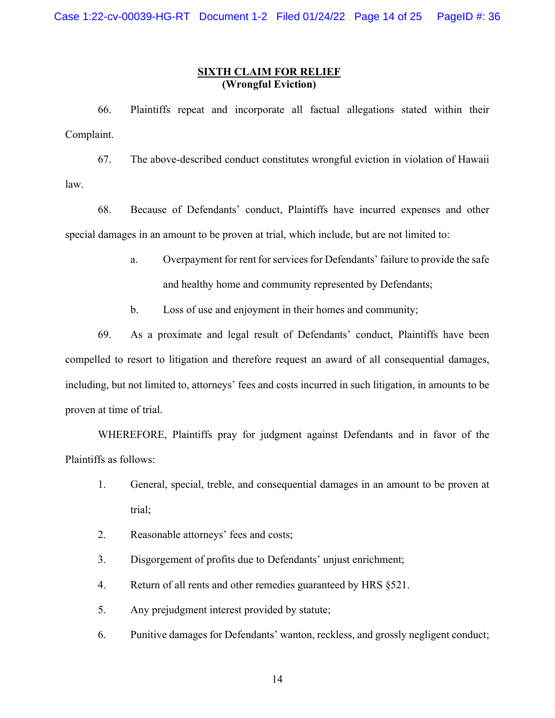### **SIXTH CLAIM FOR RELIEF (Wrongful Eviction)**

66. Plaintiffs repeat and incorporate all factual allegations stated within their Complaint.

67. The above-described conduct constitutes wrongful eviction in violation of Hawaii law.

68. Because of Defendants' conduct, Plaintiffs have incurred expenses and other special damages in an amount to be proven at trial, which include, but are not limited to:

- a. Overpayment for rent for services for Defendants' failure to provide the safe and healthy home and community represented by Defendants;
- b. Loss of use and enjoyment in their homes and community;

69. As a proximate and legal result of Defendants' conduct, Plaintiffs have been compelled to resort to litigation and therefore request an award of all consequential damages, including, but not limited to, attorneys' fees and costs incurred in such litigation, in amounts to be proven at time of trial.

 WHEREFORE, Plaintiffs pray for judgment against Defendants and in favor of the Plaintiffs as follows:

- 1. General, special, treble, and consequential damages in an amount to be proven at trial;
- 2. Reasonable attorneys' fees and costs;
- 3. Disgorgement of profits due to Defendants' unjust enrichment;
- 4. Return of all rents and other remedies guaranteed by HRS §521.
- 5. Any prejudgment interest provided by statute;
- 6. Punitive damages for Defendants' wanton, reckless, and grossly negligent conduct;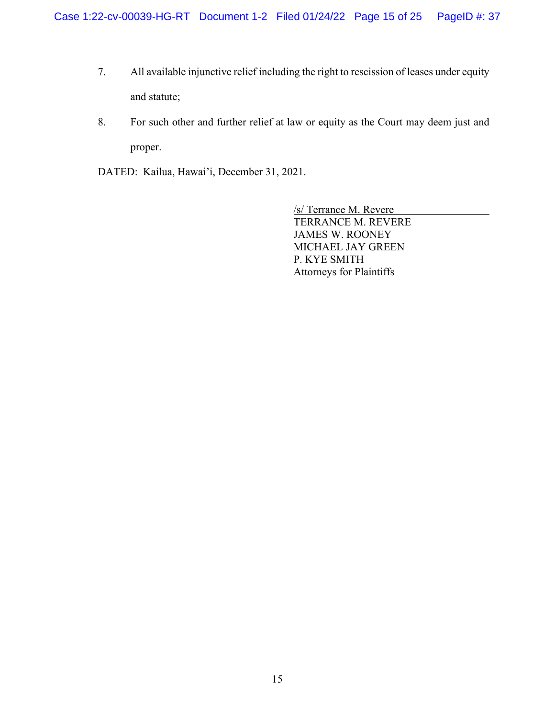- 7. All available injunctive relief including the right to rescission of leases under equity and statute;
- 8. For such other and further relief at law or equity as the Court may deem just and proper.

DATED: Kailua, Hawai'i, December 31, 2021.

/s/ Terrance M. Revere TERRANCE M. REVERE JAMES W. ROONEY MICHAEL JAY GREEN P. KYE SMITH Attorneys for Plaintiffs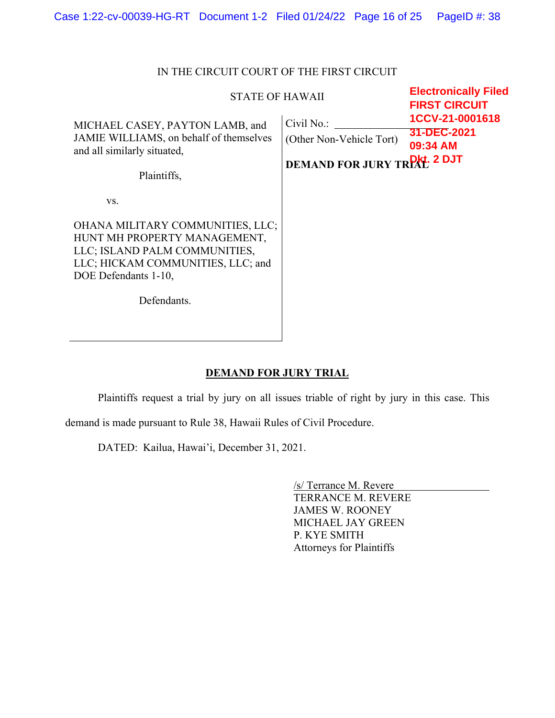| <b>STATE OF HAWAII</b>                                                                                                                                                               | <b>Electronically Filed</b><br><b>FIRST CIRCUIT</b>                          |                                            |  |
|--------------------------------------------------------------------------------------------------------------------------------------------------------------------------------------|------------------------------------------------------------------------------|--------------------------------------------|--|
| MICHAEL CASEY, PAYTON LAMB, and<br>JAMIE WILLIAMS, on behalf of themselves<br>and all similarly situated,<br>Plaintiffs,                                                             | Civil No.:<br>(Other Non-Vehicle Tort)<br><b>DEMAND FOR JURY TREAT 2 DJT</b> | 1CCV-21-0001618<br>31-DEC-2021<br>09:34 AM |  |
| VS.<br>OHANA MILITARY COMMUNITIES, LLC;<br>HUNT MH PROPERTY MANAGEMENT,<br>LLC; ISLAND PALM COMMUNITIES,<br>LLC; HICKAM COMMUNITIES, LLC; and<br>DOE Defendants 1-10,<br>Defendants. |                                                                              |                                            |  |

## IN THE CIRCUIT COURT OF THE FIRST CIRCUIT

## **DEMAND FOR JURY TRIAL**

Plaintiffs request a trial by jury on all issues triable of right by jury in this case. This

demand is made pursuant to Rule 38, Hawaii Rules of Civil Procedure.

DATED: Kailua, Hawai'i, December 31, 2021.

/s/ Terrance M. Revere TERRANCE M. REVERE JAMES W. ROONEY MICHAEL JAY GREEN P. KYE SMITH Attorneys for Plaintiffs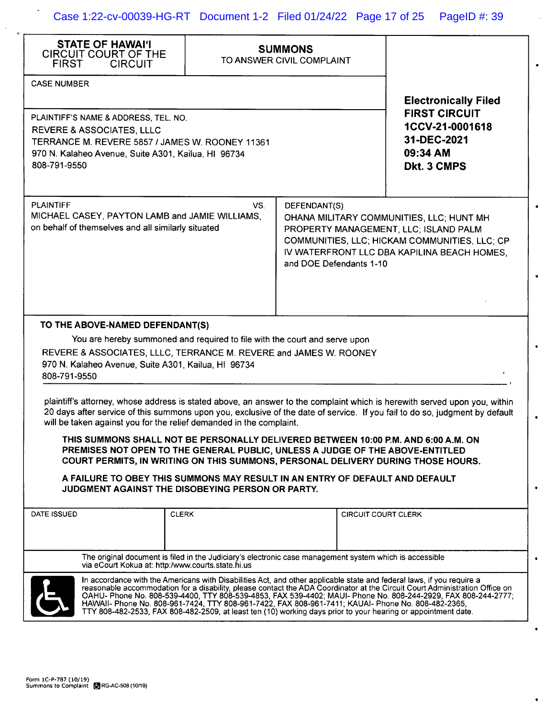l.

| <b>STATE OF HAWAI'I</b><br><b>CIRCUIT COURT OF THE</b><br><b>FIRST</b><br><b>CIRCUIT</b>                                                                                                                                                                                                                                                                                                                                                                                                                                                                                                                                                                                                                                                                                                                                                                                                                                                                                                    | <b>SUMMONS</b><br>TO ANSWER CIVIL COMPLAINT                                             |  |                            |                                                                                                                                          |  |
|---------------------------------------------------------------------------------------------------------------------------------------------------------------------------------------------------------------------------------------------------------------------------------------------------------------------------------------------------------------------------------------------------------------------------------------------------------------------------------------------------------------------------------------------------------------------------------------------------------------------------------------------------------------------------------------------------------------------------------------------------------------------------------------------------------------------------------------------------------------------------------------------------------------------------------------------------------------------------------------------|-----------------------------------------------------------------------------------------|--|----------------------------|------------------------------------------------------------------------------------------------------------------------------------------|--|
| <b>CASE NUMBER</b>                                                                                                                                                                                                                                                                                                                                                                                                                                                                                                                                                                                                                                                                                                                                                                                                                                                                                                                                                                          |                                                                                         |  |                            | <b>Electronically Filed</b>                                                                                                              |  |
| PLAINTIFF'S NAME & ADDRESS, TEL. NO.<br><b>REVERE &amp; ASSOCIATES, LLLC</b><br>TERRANCE M. REVERE 5857 / JAMES W. ROONEY 11361<br>970 N. Kalaheo Avenue, Suite A301, Kailua, HI 96734<br>808-791-9550                                                                                                                                                                                                                                                                                                                                                                                                                                                                                                                                                                                                                                                                                                                                                                                      |                                                                                         |  |                            | <b>FIRST CIRCUIT</b><br>1CCV-21-0001618<br>31-DEC-2021<br>09:34 AM<br>Dkt. 3 CMPS                                                        |  |
| <b>PLAINTIFF</b><br>MICHAEL CASEY, PAYTON LAMB and JAMIE WILLIAMS,<br>on behalf of themselves and all similarly situated                                                                                                                                                                                                                                                                                                                                                                                                                                                                                                                                                                                                                                                                                                                                                                                                                                                                    | VS.<br>DEFENDANT(S)<br>PROPERTY MANAGEMENT, LLC; ISLAND PALM<br>and DOE Defendants 1-10 |  |                            | OHANA MILITARY COMMUNITIES, LLC; HUNT MH<br>COMMUNITIES, LLC; HICKAM COMMUNITIES, LLC; CP<br>IV WATERFRONT LLC DBA KAPILINA BEACH HOMES, |  |
| TO THE ABOVE-NAMED DEFENDANT(S)<br>You are hereby summoned and required to file with the court and serve upon<br>REVERE & ASSOCIATES, LLLC, TERRANCE M. REVERE and JAMES W. ROONEY<br>970 N. Kalaheo Avenue, Suite A301, Kailua, HI 96734<br>808-791-9550<br>plaintiff's attorney, whose address is stated above, an answer to the complaint which is herewith served upon you, within<br>20 days after service of this summons upon you, exclusive of the date of service. If you fail to do so, judgment by default<br>will be taken against you for the relief demanded in the complaint.<br>THIS SUMMONS SHALL NOT BE PERSONALLY DELIVERED BETWEEN 10:00 P.M. AND 6:00 A.M. ON<br>PREMISES NOT OPEN TO THE GENERAL PUBLIC, UNLESS A JUDGE OF THE ABOVE-ENTITLED<br>COURT PERMITS, IN WRITING ON THIS SUMMONS, PERSONAL DELIVERY DURING THOSE HOURS.<br>A FAILURE TO OBEY THIS SUMMONS MAY RESULT IN AN ENTRY OF DEFAULT AND DEFAULT<br>JUDGMENT AGAINST THE DISOBEYING PERSON OR PARTY. |                                                                                         |  |                            |                                                                                                                                          |  |
| DATE ISSUED                                                                                                                                                                                                                                                                                                                                                                                                                                                                                                                                                                                                                                                                                                                                                                                                                                                                                                                                                                                 | <b>CLERK</b>                                                                            |  | <b>CIRCUIT COURT CLERK</b> |                                                                                                                                          |  |
|                                                                                                                                                                                                                                                                                                                                                                                                                                                                                                                                                                                                                                                                                                                                                                                                                                                                                                                                                                                             |                                                                                         |  |                            |                                                                                                                                          |  |
| The original document is filed in the Judiciary's electronic case management system which is accessible<br>via eCourt Kokua at: http:/www.courts.state.hi.us                                                                                                                                                                                                                                                                                                                                                                                                                                                                                                                                                                                                                                                                                                                                                                                                                                |                                                                                         |  |                            |                                                                                                                                          |  |
| In accordance with the Americans with Disabilities Act, and other applicable state and federal laws, if you require a<br>reasonable accommodation for a disability, please contact the ADA Coordinator at the Circuit Court Administration Office on<br>OAHU- Phone No. 808-539-4400, TTY 808-539-4853, FAX 539-4402; MAUI- Phone No. 808-244-2929, FAX 808-244-2777;<br>HAWAII- Phone No. 808-961-7424, TTY 808-961-7422, FAX 808-961-7411; KAUAI- Phone No. 808-482-2365,<br>TTY 808-482-2533, FAX 808-482-2509, at least ten (10) working days prior to your hearing or appointment date.                                                                                                                                                                                                                                                                                                                                                                                                |                                                                                         |  |                            |                                                                                                                                          |  |

 $\overline{\phantom{a}}$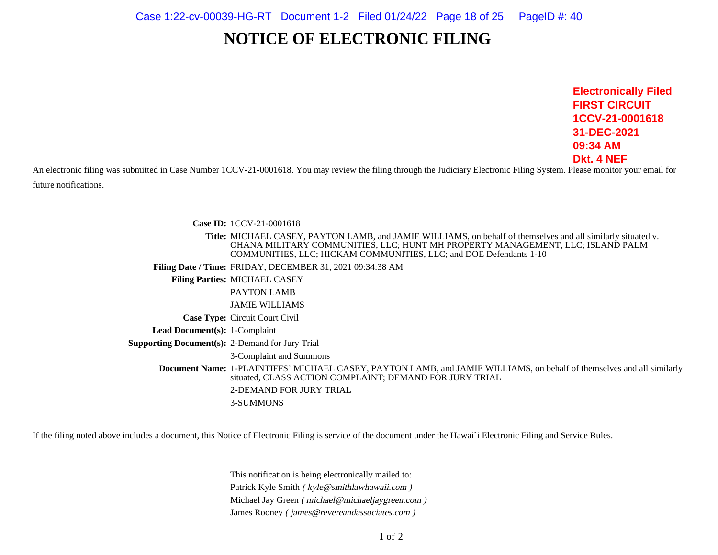## **NOTICE OF ELECTRONIC FILING**

**Electronically FiledFIRST CIRCUIT 1CCV-21-000161831-DEC-202109:34 AMDkt. 4 NEF**

An electronic filing was submitted in Case Number 1CCV-21-0001618. You may review the filing through the Judiciary Electronic Filing System. Please monitor your email for future notifications.

> **Case ID:** 1CCV-21-0001618 **Title:** MICHAEL CASEY, PAYTON LAMB, and JAMIE WILLIAMS, on behalf of themselves and all similarly situated v. OHANA MILITARY COMMUNITIES, LLC; HUNT MH PROPERTY MANAGEMENT, LLC; ISLAND PALMCOMMUNITIES, LLC; HICKAM COMMUNITIES, LLC; and DOE Defendants 1-10**Filing Date / Time:** FRIDAY, DECEMBER 31, 2021 09:34:38 AM**Filing Parties:** MICHAEL CASEYPAYTON LAMB JAMIE WILLIAMS**Case Type:** Circuit Court Civil **Lead Document(s):** 1-Complaint **Supporting Document(s):** 2-Demand for Jury Trial 3-Complaint and Summons**Document Name:** 1-PLAINTIFFS' MICHAEL CASEY, PAYTON LAMB, and JAMIE WILLIAMS, on behalf of themselves and all similarlysituated, CLASS ACTION COMPLAINT; DEMAND FOR JURY TRIAL2-DEMAND FOR JURY TRIAL3-SUMMONS

If the filing noted above includes a document, this Notice of Electronic Filing is service of the document under the Hawai`i Electronic Filing and Service Rules.

This notification is being electronically mailed to:Patrick Kyle Smith ( kyle@smithlawhawaii.com )Michael Jay Green ( michael@michaeljaygreen.com ) James Rooney ( james@revereandassociates.com )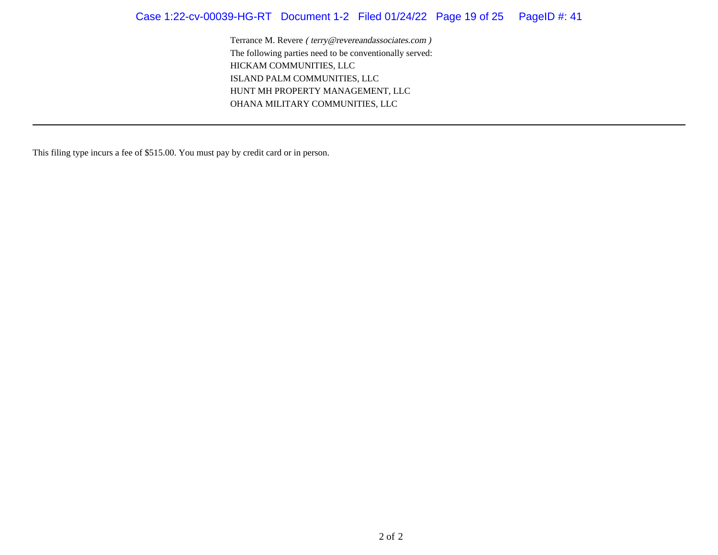## Case 1:22-cv-00039-HG-RT Document 1-2 Filed 01/24/22 Page 19 of 25 PageID #: 41

Terrance M. Revere ( terry@revereandassociates.com )The following parties need to be conventionally served:HICKAM COMMUNITIES, LLC ISLAND PALM COMMUNITIES, LLC HUNT MH PROPERTY MANAGEMENT, LLCOHANA MILITARY COMMUNITIES, LLC

This filing type incurs a fee of \$515.00. You must pay by credit card or in person.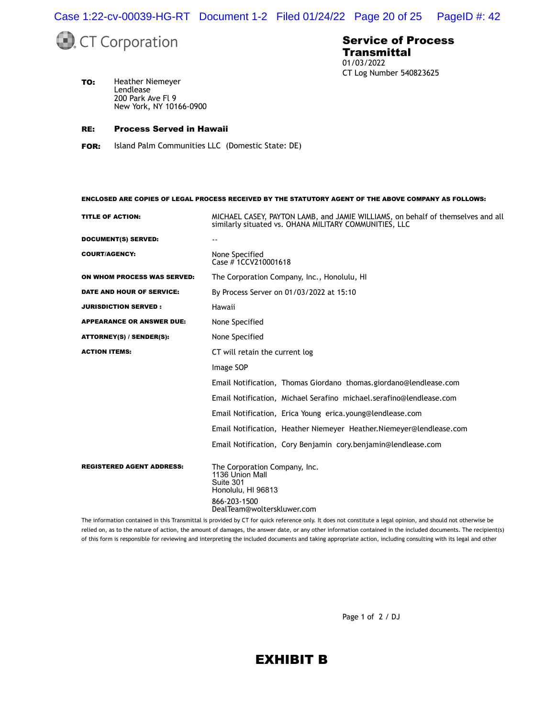Case 1:22-cv-00039-HG-RT Document 1-2 Filed 01/24/22 Page 20 of 25 PageID #: 42



#### Service of Process Transmittal 01/03/2022 CT Log Number 540823625

**TO:** Heather Niemeyer Lendlease 200 Park Ave Fl 9 New York, NY 10166-0900

#### RE: Process Served in Hawaii

FOR: Island Palm Communities LLC (Domestic State: DE)

TITLE OF ACTION: MICHAEL CASEY, PAYTON LAMB, and JAMIE WILLIAMS, on behalf of themselves and all similarly situated vs. OHANA MILITARY COMMUNITIES, LLC DOCUMENT(S) SERVED: COURT/AGENCY: None Specified Case # 1CCV210001618 ON WHOM PROCESS WAS SERVED: The Corporation Company, Inc., Honolulu, HI DATE AND HOUR OF SERVICE: By Process Server on 01/03/2022 at 15:10 **JURISDICTION SERVED : Hawaii** APPEARANCE OR ANSWER DUE: None Specified ATTORNEY(S) / SENDER(S): None Specified ACTION ITEMS: CT will retain the current log Image SOP Email Notification, Thomas Giordano thomas.giordano@lendlease.com Email Notification, Michael Serafino michael.serafino@lendlease.com Email Notification, Erica Young erica.young@lendlease.com Email Notification, Heather Niemeyer Heather.Niemeyer@lendlease.com Email Notification, Cory Benjamin cory.benjamin@lendlease.com REGISTERED AGENT ADDRESS: The Corporation Company, Inc.

ENCLOSED ARE COPIES OF LEGAL PROCESS RECEIVED BY THE STATUTORY AGENT OF THE ABOVE COMPANY AS FOLLOWS:

1136 Union Mall Suite 301 Honolulu, HI 96813 866-203-1500 DealTeam@wolterskluwer.com

The information contained in this Transmittal is provided by CT for quick reference only. It does not constitute a legal opinion, and should not otherwise be relied on, as to the nature of action, the amount of damages, the answer date, or any other information contained in the included documents. The recipient(s) of this form is responsible for reviewing and interpreting the included documents and taking appropriate action, including consulting with its legal and other

Page 1 of 2 / DJ

## EXHIBIT B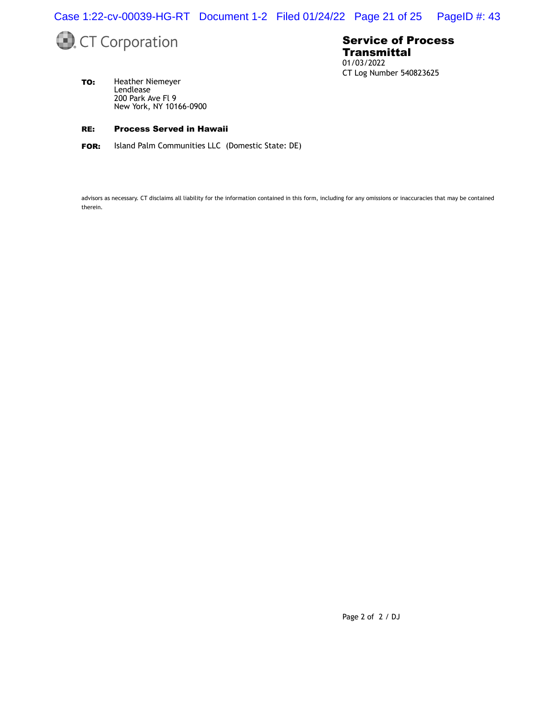Case 1:22-cv-00039-HG-RT Document 1-2 Filed 01/24/22 Page 21 of 25 PageID #: 43



#### Service of Process **Transmittal** 01/03/2022 CT Log Number 540823625

TO: Heather Niemeyer Lendlease 200 Park Ave Fl 9 New York, NY 10166-0900

#### RE: Process Served in Hawaii

FOR: Island Palm Communities LLC (Domestic State: DE)

advisors as necessary. CT disclaims all liability for the information contained in this form, including for any omissions or inaccuracies that may be contained therein.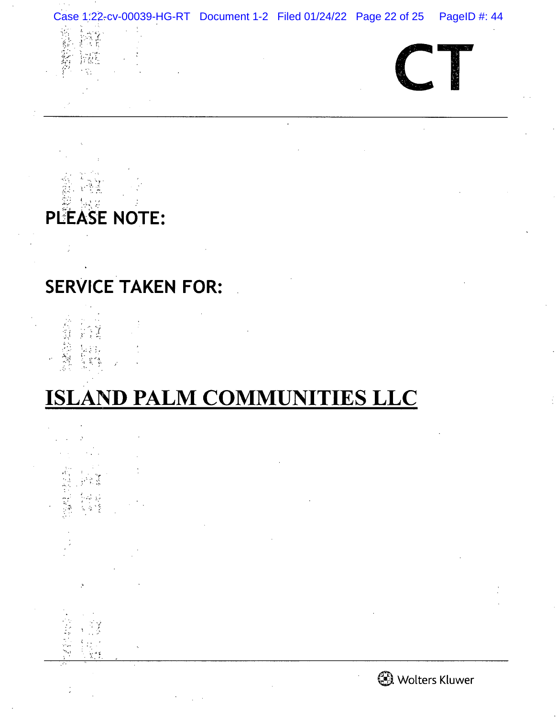

: PLEASE NOTE:

# SERVICE TAKEN FOR:

2000年4月  $\frac{1}{2}$ 

# ISLAND PALM COMMUNITIES LLC

Ķ 



0. Wolters Kluwer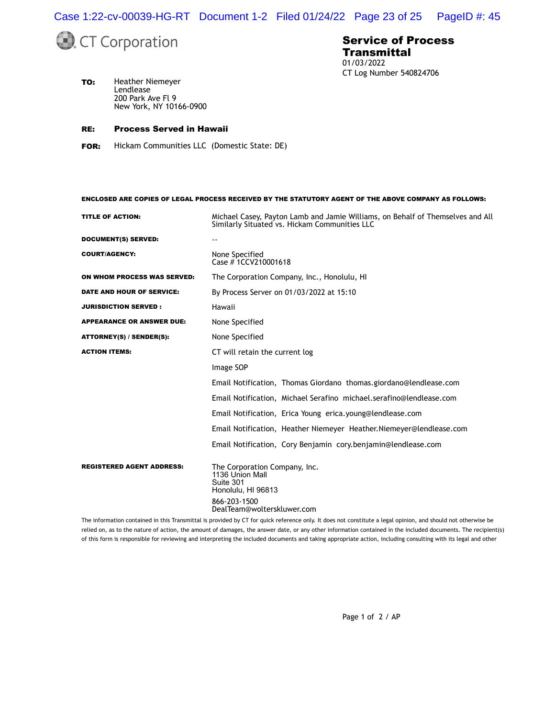Case 1:22-cv-00039-HG-RT Document 1-2 Filed 01/24/22 Page 23 of 25 PageID #: 45



#### Service of Process **Transmittal** 01/03/2022 CT Log Number 540824706

**TO:** Heather Niemeyer Lendlease 200 Park Ave Fl 9 New York, NY 10166-0900

#### RE: Process Served in Hawaii

FOR: Hickam Communities LLC (Domestic State: DE)

ENCLOSED ARE COPIES OF LEGAL PROCESS RECEIVED BY THE STATUTORY AGENT OF THE ABOVE COMPANY AS FOLLOWS:

| Michael Casey, Payton Lamb and Jamie Williams, on Behalf of Themselves and All<br>Similarly Situated vs. Hickam Communities LLC   |  |  |
|-----------------------------------------------------------------------------------------------------------------------------------|--|--|
| $- -$                                                                                                                             |  |  |
| None Specified<br>Case #1CCV210001618                                                                                             |  |  |
| The Corporation Company, Inc., Honolulu, HI                                                                                       |  |  |
| By Process Server on 01/03/2022 at 15:10                                                                                          |  |  |
| Hawaii                                                                                                                            |  |  |
| None Specified                                                                                                                    |  |  |
| None Specified                                                                                                                    |  |  |
| CT will retain the current log                                                                                                    |  |  |
| Image SOP                                                                                                                         |  |  |
| Email Notification, Thomas Giordano thomas.giordano@lendlease.com                                                                 |  |  |
| Email Notification, Michael Serafino michael.serafino@lendlease.com                                                               |  |  |
| Email Notification, Erica Young erica.young@lendlease.com                                                                         |  |  |
| Email Notification, Heather Niemeyer Heather. Niemeyer@lendlease.com                                                              |  |  |
| Email Notification, Cory Benjamin cory.benjamin@lendlease.com                                                                     |  |  |
| The Corporation Company, Inc.<br>1136 Union Mall<br>Suite 301<br>Honolulu, HI 96813<br>866-203-1500<br>DealTeam@wolterskluwer.com |  |  |
|                                                                                                                                   |  |  |

The information contained in this Transmittal is provided by CT for quick reference only. It does not constitute a legal opinion, and should not otherwise be relied on, as to the nature of action, the amount of damages, the answer date, or any other information contained in the included documents. The recipient(s) of this form is responsible for reviewing and interpreting the included documents and taking appropriate action, including consulting with its legal and other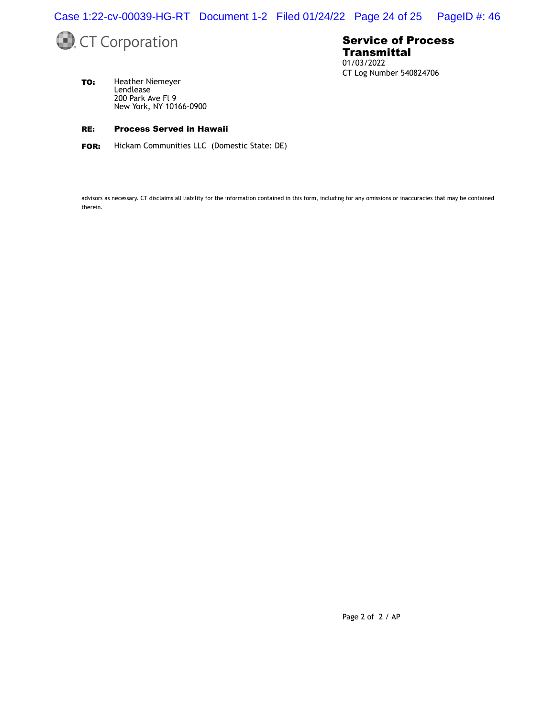Case 1:22-cv-00039-HG-RT Document 1-2 Filed 01/24/22 Page 24 of 25 PageID #: 46



#### Service of Process **Transmittal** 01/03/2022 CT Log Number 540824706

TO: Heather Niemeyer Lendlease 200 Park Ave Fl 9 New York, NY 10166-0900

#### RE: Process Served in Hawaii

FOR: Hickam Communities LLC (Domestic State: DE)

advisors as necessary. CT disclaims all liability for the information contained in this form, including for any omissions or inaccuracies that may be contained therein.